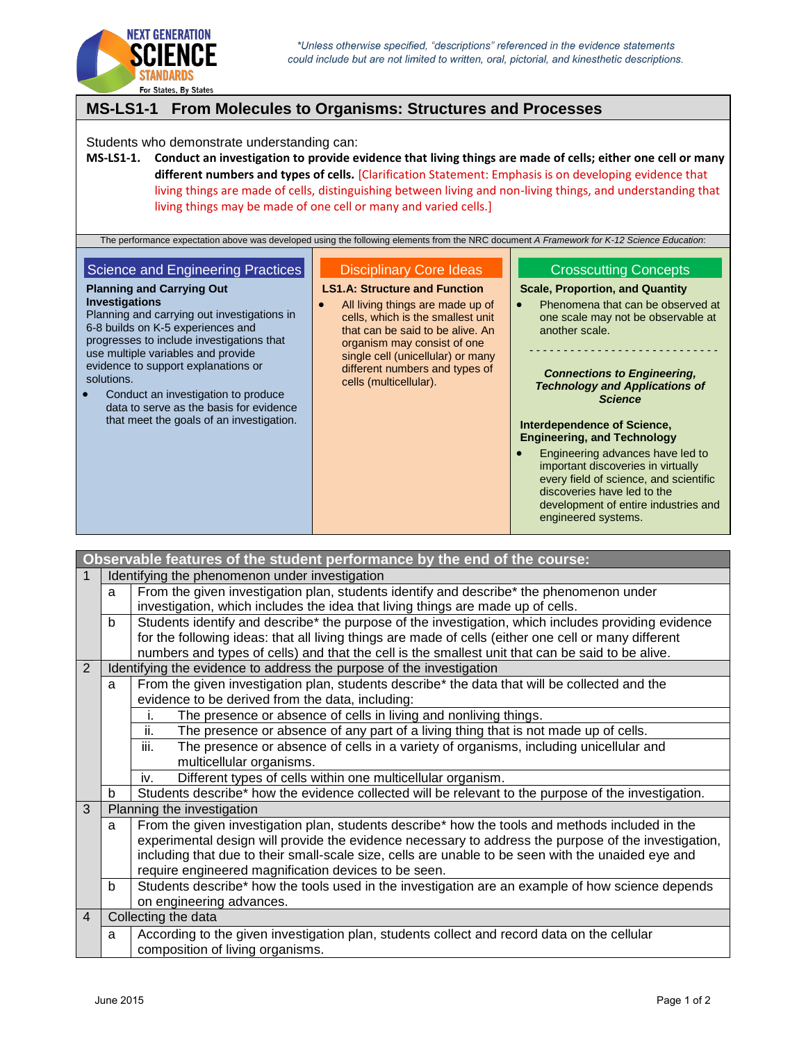

**MS-LS1-1 From Molecules to Organisms: Structures and Processes** Students who demonstrate understanding can: **MS-LS1-1. Conduct an investigation to provide evidence that living things are made of cells; either one cell or many different numbers and types of cells.** [Clarification Statement: Emphasis is on developing evidence that living things are made of cells, distinguishing between living and non-living things, and understanding that living things may be made of one cell or many and varied cells.] The performance expectation above was developed using the following elements from the NRC document *A Framework for K-12 Science Education*: Science and Engineering Practices **Planning and Carrying Out Investigations** Planning and carrying out investigations in 6-8 builds on K-5 experiences and progresses to include investigations that use multiple variables and provide evidence to support explanations or solutions. • Conduct an investigation to produce data to serve as the basis for evidence that meet the goals of an investigation. Disciplinary Core Ideas **LS1.A: Structure and Function** All living things are made up of cells, which is the smallest unit that can be said to be alive. An organism may consist of one single cell (unicellular) or many different numbers and types of cells (multicellular). Crosscutting Concepts **Scale, Proportion, and Quantity** • Phenomena that can be observed at one scale may not be observable at another scale. - - - - - - - - - - - - - - - - - - - - - - - - - - - - *Connections to Engineering, Technology and Applications of Science* **Interdependence of Science, Engineering, and Technology** Engineering advances have led to important discoveries in virtually every field of science, and scientific discoveries have led to the development of entire industries and engineered systems.

| Observable features of the student performance by the end of the course: |                            |                                                                                                      |  |  |
|--------------------------------------------------------------------------|----------------------------|------------------------------------------------------------------------------------------------------|--|--|
| 1                                                                        |                            | Identifying the phenomenon under investigation                                                       |  |  |
|                                                                          | a                          | From the given investigation plan, students identify and describe* the phenomenon under              |  |  |
|                                                                          |                            | investigation, which includes the idea that living things are made up of cells.                      |  |  |
|                                                                          | b                          | Students identify and describe* the purpose of the investigation, which includes providing evidence  |  |  |
|                                                                          |                            | for the following ideas: that all living things are made of cells (either one cell or many different |  |  |
|                                                                          |                            | numbers and types of cells) and that the cell is the smallest unit that can be said to be alive.     |  |  |
| 2                                                                        |                            | Identifying the evidence to address the purpose of the investigation                                 |  |  |
|                                                                          | a                          | From the given investigation plan, students describe* the data that will be collected and the        |  |  |
|                                                                          |                            | evidence to be derived from the data, including:                                                     |  |  |
|                                                                          |                            | The presence or absence of cells in living and nonliving things.<br>j.                               |  |  |
|                                                                          |                            | ii.<br>The presence or absence of any part of a living thing that is not made up of cells.           |  |  |
|                                                                          |                            | iii.<br>The presence or absence of cells in a variety of organisms, including unicellular and        |  |  |
|                                                                          |                            | multicellular organisms.                                                                             |  |  |
|                                                                          |                            | Different types of cells within one multicellular organism.<br>iv.                                   |  |  |
|                                                                          | b                          | Students describe* how the evidence collected will be relevant to the purpose of the investigation.  |  |  |
| 3                                                                        | Planning the investigation |                                                                                                      |  |  |
|                                                                          | a                          | From the given investigation plan, students describe* how the tools and methods included in the      |  |  |
|                                                                          |                            | experimental design will provide the evidence necessary to address the purpose of the investigation, |  |  |
|                                                                          |                            | including that due to their small-scale size, cells are unable to be seen with the unaided eye and   |  |  |
|                                                                          |                            | require engineered magnification devices to be seen.                                                 |  |  |
|                                                                          | b                          | Students describe* how the tools used in the investigation are an example of how science depends     |  |  |
|                                                                          |                            | on engineering advances.                                                                             |  |  |
| Collecting the data<br>$\overline{4}$                                    |                            |                                                                                                      |  |  |
|                                                                          | a                          | According to the given investigation plan, students collect and record data on the cellular          |  |  |
|                                                                          |                            | composition of living organisms.                                                                     |  |  |